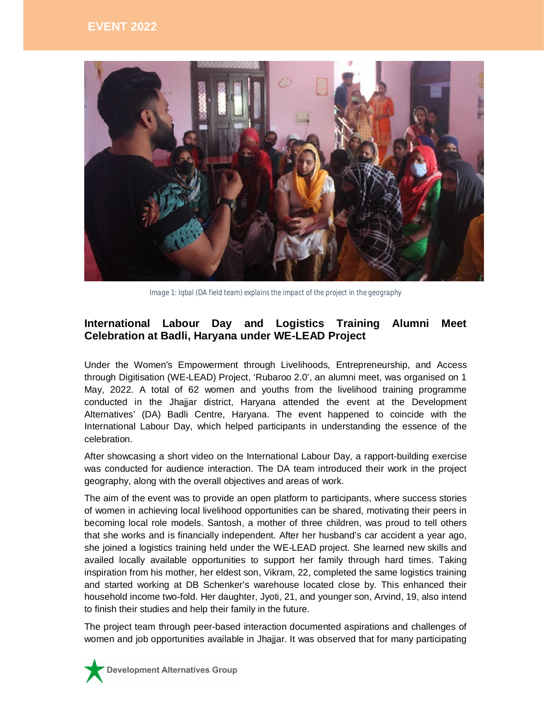

*Image 1: Iqbal (DA field team) explains the impact of the project in the geography*

## **International Labour Day and Logistics Training Alumni Meet Celebration at Badli, Haryana under WE-LEAD Project**

Under the Women's Empowerment through Livelihoods, Entrepreneurship, and Access through Digitisation (WE-LEAD) Project, 'Rubaroo 2.0', an alumni meet, was organised on 1 May, 2022. A total of 62 women and youths from the livelihood training programme conducted in the Jhajjar district, Haryana attended the event at the Development Alternatives' (DA) Badli Centre, Haryana. The event happened to coincide with the International Labour Day, which helped participants in understanding the essence of the celebration.

After showcasing a short video on the International Labour Day, a rapport-building exercise was conducted for audience interaction. The DA team introduced their work in the project geography, along with the overall objectives and areas of work.

The aim of the event was to provide an open platform to participants, where success stories of women in achieving local livelihood opportunities can be shared, motivating their peers in becoming local role models. Santosh, a mother of three children, was proud to tell others that she works and is financially independent. After her husband's car accident a year ago, she joined a logistics training held under the WE-LEAD project. She learned new skills and availed locally available opportunities to support her family through hard times. Taking inspiration from his mother, her eldest son, Vikram, 22, completed the same logistics training and started working at DB Schenker's warehouse located close by. This enhanced their household income two-fold. Her daughter, Jyoti, 21, and younger son, Arvind, 19, also intend to finish their studies and help their family in the future.

The project team through peer-based interaction documented aspirations and challenges of women and job opportunities available in Jhajjar. It was observed that for many participating

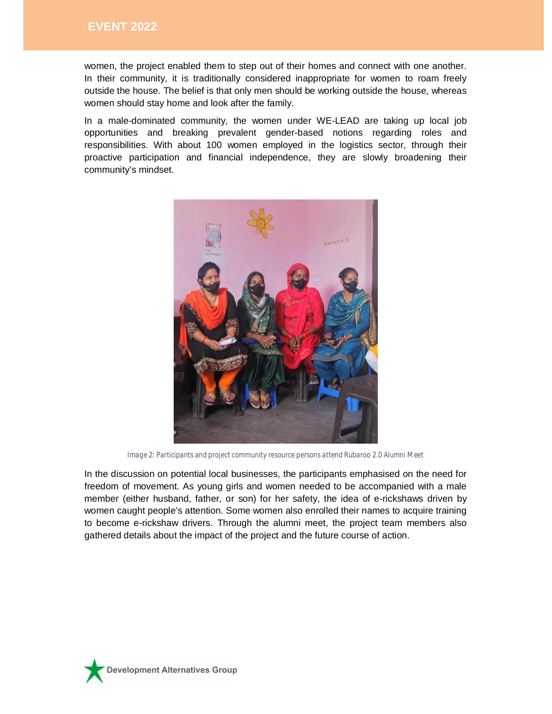women, the project enabled them to step out of their homes and connect with one another. In their community, it is traditionally considered inappropriate for women to roam freely outside the house. The belief is that only men should be working outside the house, whereas women should stay home and look after the family.

In a male-dominated community, the women under WE-LEAD are taking up local job opportunities and breaking prevalent gender-based notions regarding roles and responsibilities. With about 100 women employed in the logistics sector, through their proactive participation and financial independence, they are slowly broadening their community's mindset.



*Image 2: Participants and project community resource persons attend Rubaroo 2.0 Alumni Meet*

In the discussion on potential local businesses, the participants emphasised on the need for freedom of movement. As young girls and women needed to be accompanied with a male member (either husband, father, or son) for her safety, the idea of e-rickshaws driven by women caught people's attention. Some women also enrolled their names to acquire training to become e-rickshaw drivers. Through the alumni meet, the project team members also gathered details about the impact of the project and the future course of action.